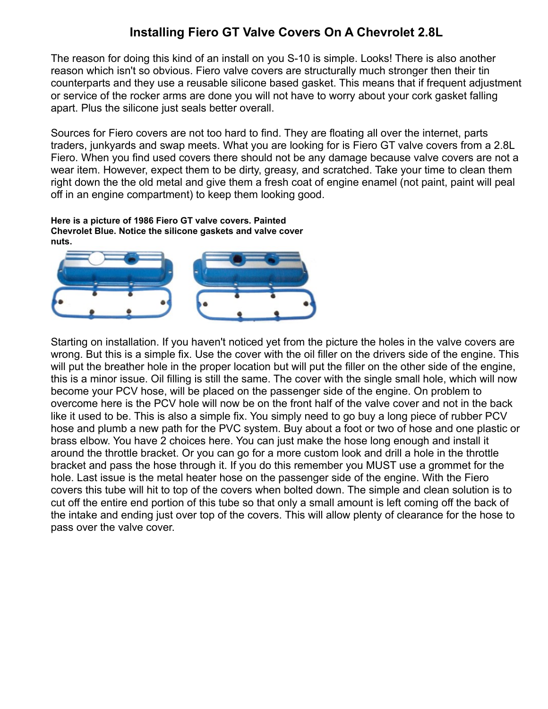## **Installing Fiero GT Valve Covers On A Chevrolet 2.8L**

The reason for doing this kind of an install on you S-10 is simple. Looks! There is also another reason which isn't so obvious. Fiero valve covers are structurally much stronger then their tin counterparts and they use a reusable silicone based gasket. This means that if frequent adjustment or service of the rocker arms are done you will not have to worry about your cork gasket falling apart. Plus the silicone just seals better overall.

Sources for Fiero covers are not too hard to find. They are floating all over the internet, parts traders, junkyards and swap meets. What you are looking for is Fiero GT valve covers from a 2.8L Fiero. When you find used covers there should not be any damage because valve covers are not a wear item. However, expect them to be dirty, greasy, and scratched. Take your time to clean them right down the the old metal and give them a fresh coat of engine enamel (not paint, paint will peal off in an engine compartment) to keep them looking good.

**Here is a picture of 1986 Fiero GT valve covers. Painted Chevrolet Blue. Notice the silicone gaskets and valve cover nuts.**



Starting on installation. If you haven't noticed yet from the picture the holes in the valve covers are wrong. But this is a simple fix. Use the cover with the oil filler on the drivers side of the engine. This will put the breather hole in the proper location but will put the filler on the other side of the engine, this is a minor issue. Oil filling is still the same. The cover with the single small hole, which will now become your PCV hose, will be placed on the passenger side of the engine. On problem to overcome here is the PCV hole will now be on the front half of the valve cover and not in the back like it used to be. This is also a simple fix. You simply need to go buy a long piece of rubber PCV hose and plumb a new path for the PVC system. Buy about a foot or two of hose and one plastic or brass elbow. You have 2 choices here. You can just make the hose long enough and install it around the throttle bracket. Or you can go for a more custom look and drill a hole in the throttle bracket and pass the hose through it. If you do this remember you MUST use a grommet for the hole. Last issue is the metal heater hose on the passenger side of the engine. With the Fiero covers this tube will hit to top of the covers when bolted down. The simple and clean solution is to cut off the entire end portion of this tube so that only a small amount is left coming off the back of the intake and ending just over top of the covers. This will allow plenty of clearance for the hose to pass over the valve cover.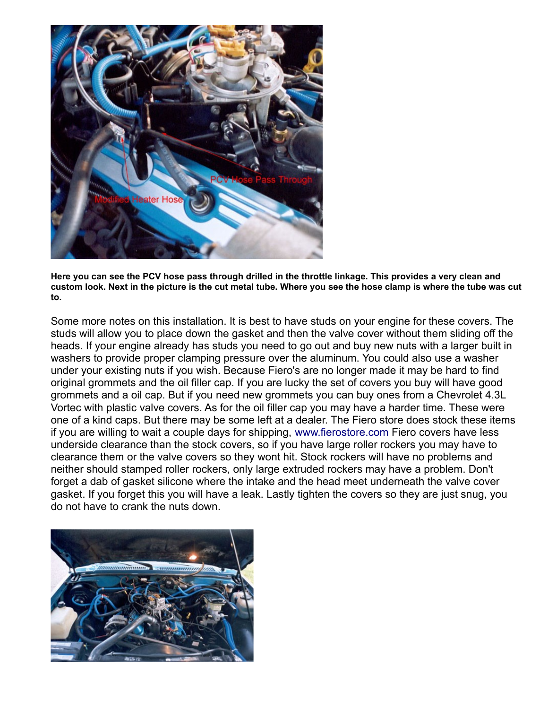

**Here you can see the PCV hose pass through drilled in the throttle linkage. This provides a very clean and custom look. Next in the picture is the cut metal tube. Where you see the hose clamp is where the tube was cut to.** 

Some more notes on this installation. It is best to have studs on your engine for these covers. The studs will allow you to place down the gasket and then the valve cover without them sliding off the heads. If your engine already has studs you need to go out and buy new nuts with a larger built in washers to provide proper clamping pressure over the aluminum. You could also use a washer under your existing nuts if you wish. Because Fiero's are no longer made it may be hard to find original grommets and the oil filler cap. If you are lucky the set of covers you buy will have good grommets and a oil cap. But if you need new grommets you can buy ones from a Chevrolet 4.3L Vortec with plastic valve covers. As for the oil filler cap you may have a harder time. These were one of a kind caps. But there may be some left at a dealer. The Fiero store does stock these items if you are willing to wait a couple days for shipping, [www.fierostore.com](http://www.fierostore.com/) Fiero covers have less underside clearance than the stock covers, so if you have large roller rockers you may have to clearance them or the valve covers so they wont hit. Stock rockers will have no problems and neither should stamped roller rockers, only large extruded rockers may have a problem. Don't forget a dab of gasket silicone where the intake and the head meet underneath the valve cover gasket. If you forget this you will have a leak. Lastly tighten the covers so they are just snug, you do not have to crank the nuts down.